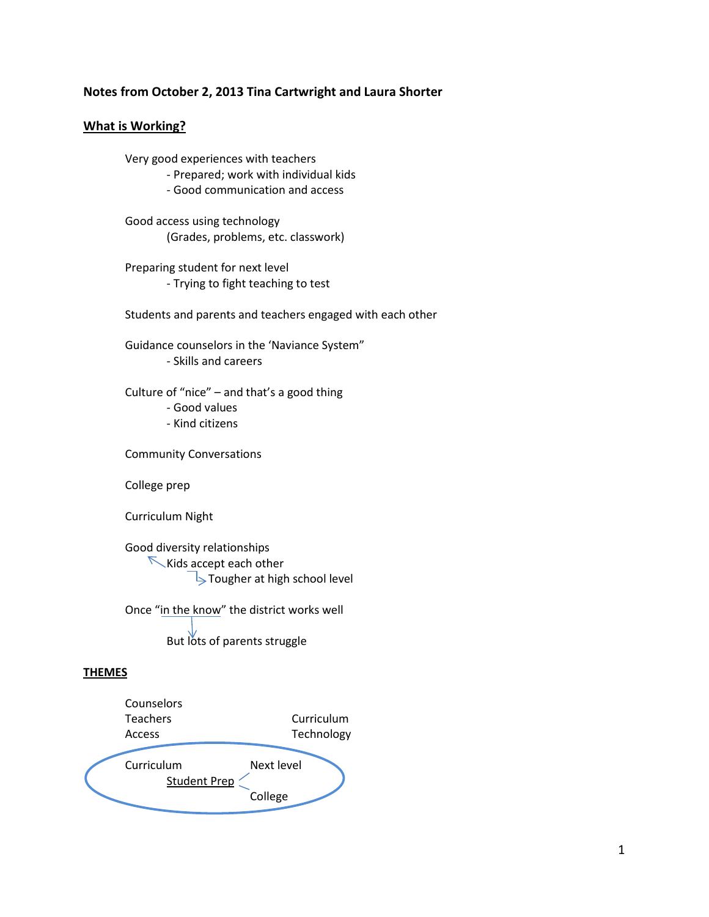## **Notes from October 2, 2013 Tina Cartwright and Laura Shorter**

## **What is Working?**

Very good experiences with teachers

- Prepared; work with individual kids

- Good communication and access

Good access using technology (Grades, problems, etc. classwork)

Preparing student for next level - Trying to fight teaching to test

Students and parents and teachers engaged with each other

Guidance counselors in the 'Naviance System" - Skills and careers

Culture of "nice" – and that's a good thing

- Good values

- Kind citizens

Community Conversations

College prep

Curriculum Night

Good diversity relationships Kids accept each other Tougher at high school level

Once "in the know" the district works well But lots of parents struggle

## **THEMES**

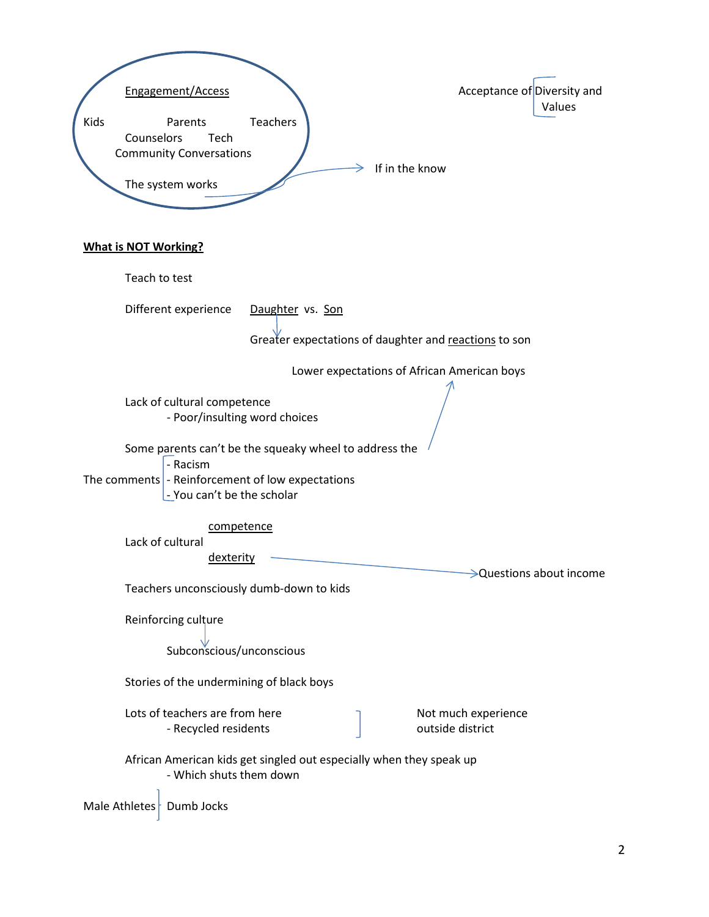